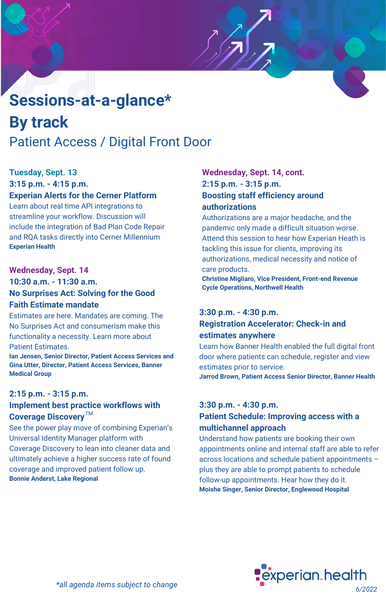# Patient Access / Digital Front Door **Sessions-at-a-glance\* By track**

## **Tuesday, Sept. 13**

**3:15 p.m. - 4:15 p.m.**

# **Experian Alerts for the Cerner Platform**

Learn about real time API integrations to streamline your workflow. Discussion will include the integration of Bad Plan Code Repair and RQA tasks directly into Cerner Millennium **Experian Health**

#### **Wednesday, Sept. 14**

**10:30 a.m. - 11:30 a.m. No Surprises Act: Solving for the Good Faith Estimate mandate**

Estimates are here. Mandates are coming. The No Surprises Act and consumerism make this functionality a necessity. Learn more about Patient Estimates.

**Ian Jensen, Senior Director, Patient Access Services and Gina Utter, Director, Patient Access Services, Banner Medical Group**

#### **2:15 p.m. - 3:15 p.m.**

## **Implement best practice workflows with Coverage Discovery** TM

See the power play move of combining Experian's Universal Identity Manager platform with Coverage Discovery to lean into cleaner data and ultimately achieve a higher success rate of found coverage and improved patient follow up. **Bonnie Anderst, Lake Regional**

## **Wednesday, Sept. 14, cont. 2:15 p.m. - 3:15 p.m. Boosting staff efficiency around authorizations**

Authorizations are a major headache, and the pandemic only made a difficult situation worse. Attend this session to hear how Experian Heath is tackling this issue for clients, improving its authorizations, medical necessity and notice of care products.

**Christine Migliaro, Vice President, Front-end Revenue Cycle Operations, Northwell Health**

#### **3:30 p.m. - 4:30 p.m.**

#### **Registration Accelerator: Check-in and estimates anywhere**

Learn how Banner Health enabled the full digital front door where patients can schedule, register and view estimates prior to service. **Jarrod Brown, Patient Access Senior Director, Banner Health**

#### **3:30 p.m. - 4:30 p.m.**

### **Patient Schedule: Improving access with a multichannel approach**

Understand how patients are booking their own appointments online and internal staff are able to refer across locations and schedule patient appointments – plus they are able to prompt patients to schedule follow-up appointments. Hear how they do it. **Moishe Singer, Senior Director, Englewood Hospital**

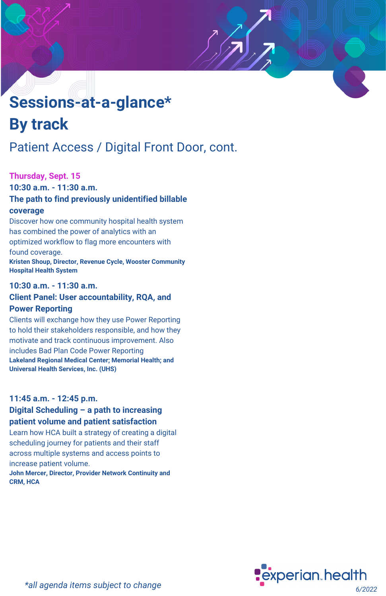# **Sessions-at-a-glance\* By track**

# Patient Access / Digital Front Door, cont.

#### **Thursday, Sept. 15**

**10:30 a.m. - 11:30 a.m. The path to find previously unidentified billable coverage**

Discover how one community hospital health system has combined the power of analytics with an optimized workflow to flag more encounters with found coverage. **Kristen Shoup, Director, Revenue Cycle, Wooster Community Hospital Health System**

#### **10:30 a.m. - 11:30 a.m.**

#### **Client Panel: User accountability, RQA, and Power Reporting**

Clients will exchange how they use Power Reporting to hold their stakeholders responsible, and how they motivate and track continuous improvement. Also includes Bad Plan Code Power Reporting **Lakeland Regional Medical Center; Memorial Health; and Universal Health Services, Inc. (UHS)**

# **11:45 a.m. - 12:45 p.m. Digital Scheduling – a path to increasing**

# **patient volume and patient satisfaction**

Learn how HCA built a strategy of creating a digital scheduling journey for patients and their staff across multiple systems and access points to increase patient volume.

**John Mercer, Director, Provider Network Continuity and CRM, HCA**

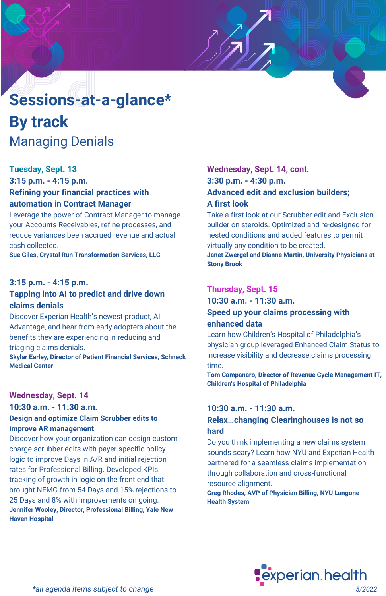# **Sessions-at-a-glance\* By track** Managing Denials

#### **Tuesday, Sept. 13**

**3:15 p.m. - 4:15 p.m. Refining your financial practices with automation in Contract Manager**

Leverage the power of Contract Manager to manage your Accounts Receivables, refine processes, and reduce variances been accrued revenue and actual cash collected.

**Sue Giles, Crystal Run Transformation Services, LLC**

#### **3:15 p.m. - 4:15 p.m.**

#### **Tapping into AI to predict and drive down claims denials**

Discover Experian Health's newest product, AI Advantage, and hear from early adopters about the benefits they are experiencing in reducing and triaging claims denials.

**Skylar Earley, Director of Patient Financial Services, Schneck Medical Center**

#### **Wednesday, Sept. 14**

**10:30 a.m. - 11:30 a.m. Design and optimize Claim Scrubber edits to improve AR management**

Discover how your organization can design custom charge scrubber edits with payer specific policy logic to improve Days in A/R and initial rejection rates for Professional Billing. Developed KPIs tracking of growth in logic on the front end that brought NEMG from 54 Days and 15% rejections to 25 Days and 8% with improvements on going. **Jennifer Wooley, Director, Professional Billing, Yale New Haven Hospital**

## **Wednesday, Sept. 14, cont. 3:30 p.m. - 4:30 p.m. Advanced edit and exclusion builders; A first look**

Take a first look at our Scrubber edit and Exclusion builder on steroids. Optimized and re-designed for nested conditions and added features to permit virtually any condition to be created.

**Janet Zwergel and Dianne Martin, University Physicians at Stony Brook**

## **Thursday, Sept. 15**

**10:30 a.m. - 11:30 a.m.**

#### **Speed up your claims processing with enhanced data**

Learn how Children's Hospital of Philadelphia's physician group leveraged Enhanced Claim Status to increase visibility and decrease claims processing time.

**Tom Campanaro, Director of Revenue Cycle Management IT, Children's Hospital of Philadelphia**

#### **10:30 a.m. - 11:30 a.m.**

#### **Relax…changing Clearinghouses is not so hard**

Do you think implementing a new claims system sounds scary? Learn how NYU and Experian Health partnered for a seamless claims implementation through collaboration and cross-functional resource alignment.

**Greg Rhodes, AVP of Physician Billing, NYU Langone Health System**

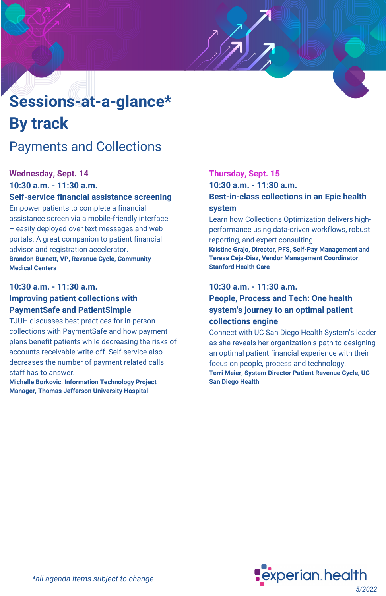# **Sessions-at-a-glance\* By track**

# Payments and Collections

### **Wednesday, Sept. 14**

**10:30 a.m. - 11:30 a.m. Self-service financial assistance screening** Empower patients to complete a financial assistance screen via a mobile-friendly interface

– easily deployed over text messages and web portals. A great companion to patient financial advisor and registration accelerator. **Brandon Burnett, VP, Revenue Cycle, Community Medical Centers**

#### **10:30 a.m. - 11:30 a.m. Improving patient collections with PaymentSafe and PatientSimple**

TJUH discusses best practices for in-person collections with PaymentSafe and how payment plans benefit patients while decreasing the risks of accounts receivable write-off. Self-service also decreases the number of payment related calls staff has to answer.

**Michelle Borkovic, Information Technology Project Manager, Thomas Jefferson University Hospital**

# **Thursday, Sept. 15**

**10:30 a.m. - 11:30 a.m.**

#### **Best-in-class collections in an Epic health system**

Learn how Collections Optimization delivers highperformance using data-driven workflows, robust reporting, and expert consulting.

**Kristine Grajo, Director, PFS, Self-Pay Management and Teresa Ceja-Diaz, Vendor Management Coordinator, Stanford Health Care**

#### **10:30 a.m. - 11:30 a.m.**

#### **People, Process and Tech: One health system's journey to an optimal patient collections engine**

Connect with UC San Diego Health System's leader as she reveals her organization's path to designing an optimal patient financial experience with their focus on people, process and technology. **Terri Meier, System Director Patient Revenue Cycle, UC San Diego Health**